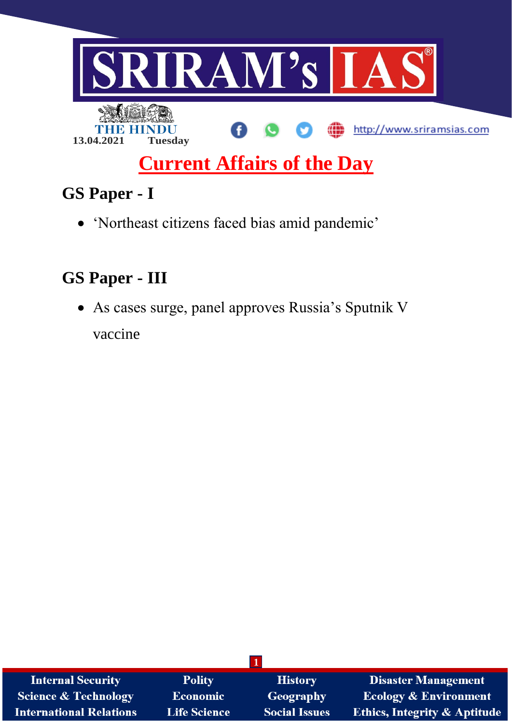

# **Current Affairs of the Day**

# **GS Paper - I**

'Northeast citizens faced bias amid pandemic'

## **GS Paper - III**

 As cases surge, panel approves Russia's Sputnik V vaccine

| <b>Internal Security</b>       | <b>Polity</b>       | <b>History</b>       | <b>Disaster Management</b>              |
|--------------------------------|---------------------|----------------------|-----------------------------------------|
| Science & Technology           | <b>Economic</b>     | Geography            | <b>Ecology &amp; Environment</b>        |
| <b>International Relations</b> | <b>Life Science</b> | <b>Social Issues</b> | <b>Ethics, Integrity &amp; Aptitude</b> |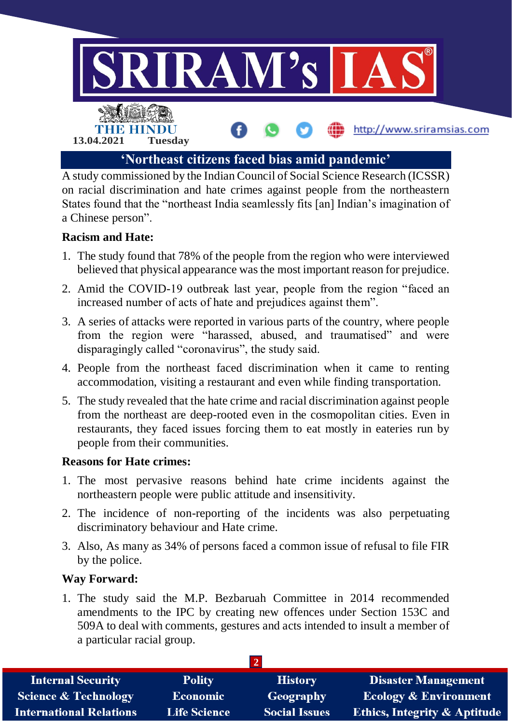

A study commissioned by the Indian Council of Social Science Research (ICSSR) on racial discrimination and hate crimes against people from the northeastern States found that the "northeast India seamlessly fits [an] Indian's imagination of a Chinese person".

### **Racism and Hate:**

- 1. The study found that 78% of the people from the region who were interviewed believed that physical appearance was the most important reason for prejudice.
- 2. Amid the COVID-19 outbreak last year, people from the region "faced an increased number of acts of hate and prejudices against them".
- 3. A series of attacks were reported in various parts of the country, where people from the region were "harassed, abused, and traumatised" and were disparagingly called "coronavirus", the study said.
- 4. People from the northeast faced discrimination when it came to renting accommodation, visiting a restaurant and even while finding transportation.
- 5. The study revealed that the hate crime and racial discrimination against people from the northeast are deep-rooted even in the cosmopolitan cities. Even in restaurants, they faced issues forcing them to eat mostly in eateries run by people from their communities.

#### **Reasons for Hate crimes:**

- 1. The most pervasive reasons behind hate crime incidents against the northeastern people were public attitude and insensitivity.
- 2. The incidence of non-reporting of the incidents was also perpetuating discriminatory behaviour and Hate crime.
- 3. Also, As many as 34% of persons faced a common issue of refusal to file FIR by the police.

#### **Way Forward:**

1. The study said the M.P. Bezbaruah Committee in 2014 recommended amendments to the IPC by creating new offences under Section 153C and 509A to deal with comments, gestures and acts intended to insult a member of a particular racial group.

| <b>Internal Security</b>        | <b>Polity</b>       | <b>History</b>       | <b>Disaster Management</b>              |  |  |  |
|---------------------------------|---------------------|----------------------|-----------------------------------------|--|--|--|
| <b>Science &amp; Technology</b> | <b>Economic</b>     | Geography            | <b>Ecology &amp; Environment</b>        |  |  |  |
| <b>International Relations</b>  | <b>Life Science</b> | <b>Social Issues</b> | <b>Ethics, Integrity &amp; Aptitude</b> |  |  |  |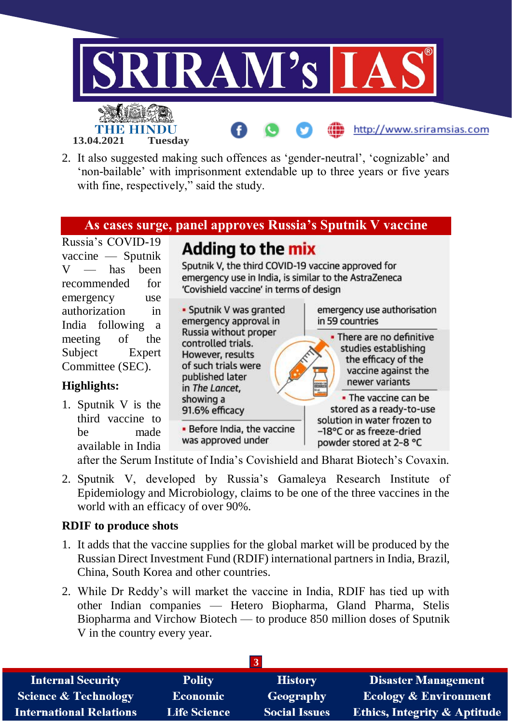

2. It also suggested making such offences as 'gender-neutral', 'cognizable' and 'non-bailable' with imprisonment extendable up to three years or five years with fine, respectively," said the study.

### **As cases surge, panel approves Russia's Sputnik V vaccine**

Russia's COVID-19 vaccine — Sputnik  $V$  — has been recommended for emergency use authorization in India following a meeting of the Subject Expert Committee (SEC).

#### **Highlights:**

1. Sputnik V is the third vaccine to be made available in India Adding to the mix

Sputnik V, the third COVID-19 vaccine approved for emergency use in India, is similar to the AstraZeneca 'Covishield vaccine' in terms of design



after the Serum Institute of India's Covishield and Bharat Biotech's Covaxin.

2. Sputnik V, developed by Russia's Gamaleya Research Institute of Epidemiology and Microbiology, claims to be one of the three vaccines in the world with an efficacy of over 90%.

#### **RDIF to produce shots**

- 1. It adds that the vaccine supplies for the global market will be produced by the Russian Direct Investment Fund (RDIF) international partners in India, Brazil, China, South Korea and other countries.
- 2. While Dr Reddy's will market the vaccine in India, RDIF has tied up with other Indian companies — Hetero Biopharma, Gland Pharma, Stelis Biopharma and Virchow Biotech — to produce 850 million doses of Sputnik V in the country every year.

| <b>Internal Security</b>        | <b>Polity</b>       | <b>History</b>       | Disaster Management                     |  |  |  |
|---------------------------------|---------------------|----------------------|-----------------------------------------|--|--|--|
| <b>Science &amp; Technology</b> | <b>Economic</b>     | Geography            | <b>Ecology &amp; Environment</b>        |  |  |  |
| <b>International Relations</b>  | <b>Life Science</b> | <b>Social Issues</b> | <b>Ethics, Integrity &amp; Aptitude</b> |  |  |  |